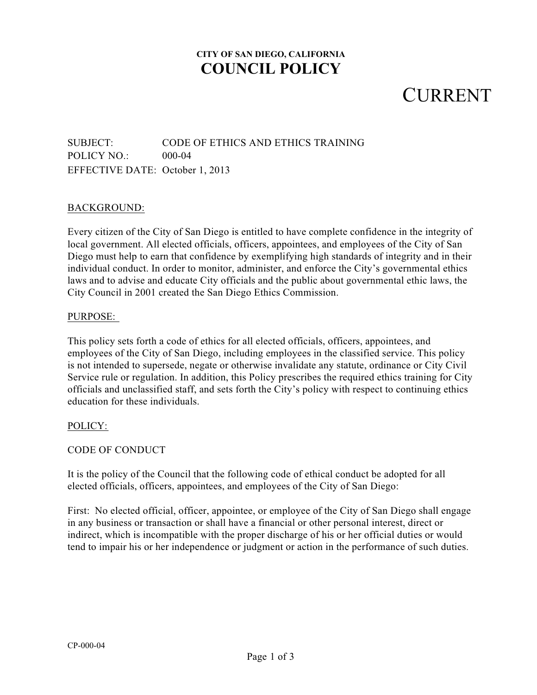## **CITY OF SAN DIEGO, CALIFORNIA COUNCIL POLICY**

## **CURRENT**

### SUBJECT: CODE OF ETHICS AND ETHICS TRAINING POLICY NO.: 000-04 EFFECTIVE DATE: October 1, 2013

#### BACKGROUND:

Every citizen of the City of San Diego is entitled to have complete confidence in the integrity of local government. All elected officials, officers, appointees, and employees of the City of San Diego must help to earn that confidence by exemplifying high standards of integrity and in their individual conduct. In order to monitor, administer, and enforce the City's governmental ethics laws and to advise and educate City officials and the public about governmental ethic laws, the City Council in 2001 created the San Diego Ethics Commission.

#### PURPOSE:

This policy sets forth a code of ethics for all elected officials, officers, appointees, and employees of the City of San Diego, including employees in the classified service. This policy is not intended to supersede, negate or otherwise invalidate any statute, ordinance or City Civil Service rule or regulation. In addition, this Policy prescribes the required ethics training for City officials and unclassified staff, and sets forth the City's policy with respect to continuing ethics education for these individuals.

#### POLICY:

#### CODE OF CONDUCT

It is the policy of the Council that the following code of ethical conduct be adopted for all elected officials, officers, appointees, and employees of the City of San Diego:

First: No elected official, officer, appointee, or employee of the City of San Diego shall engage in any business or transaction or shall have a financial or other personal interest, direct or indirect, which is incompatible with the proper discharge of his or her official duties or would tend to impair his or her independence or judgment or action in the performance of such duties.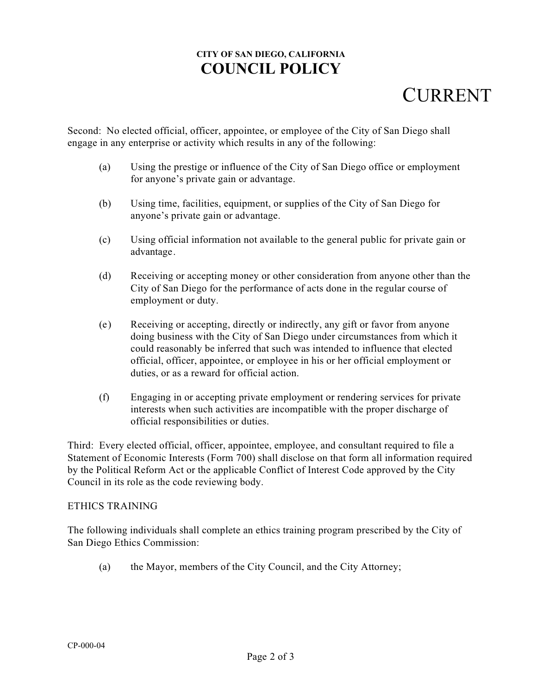## **CITY OF SAN DIEGO, CALIFORNIA COUNCIL POLICY**

# CURRENT

Second: No elected official, officer, appointee, or employee of the City of San Diego shall engage in any enterprise or activity which results in any of the following:

- (a) Using the prestige or influence of the City of San Diego office or employment for anyone's private gain or advantage.
- (b) Using time, facilities, equipment, or supplies of the City of San Diego for anyone's private gain or advantage.
- (c) Using official information not available to the general public for private gain or advantage.
- (d) Receiving or accepting money or other consideration from anyone other than the City of San Diego for the performance of acts done in the regular course of employment or duty.
- (e) Receiving or accepting, directly or indirectly, any gift or favor from anyone doing business with the City of San Diego under circumstances from which it could reasonably be inferred that such was intended to influence that elected official, officer, appointee, or employee in his or her official employment or duties, or as a reward for official action.
- (f) Engaging in or accepting private employment or rendering services for private interests when such activities are incompatible with the proper discharge of official responsibilities or duties.

Third: Every elected official, officer, appointee, employee, and consultant required to file a Statement of Economic Interests (Form 700) shall disclose on that form all information required by the Political Reform Act or the applicable Conflict of Interest Code approved by the City Council in its role as the code reviewing body.

#### ETHICS TRAINING

The following individuals shall complete an ethics training program prescribed by the City of San Diego Ethics Commission:

(a) the Mayor, members of the City Council, and the City Attorney;